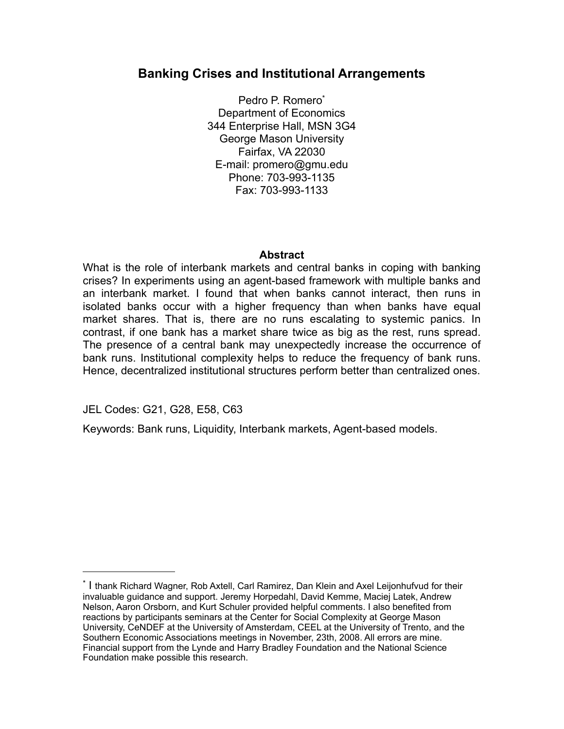# **Banking Crises and Institutional Arrangements**

Pedro P. Romer[o\\*](#page-0-0) Department of Economics 344 Enterprise Hall, MSN 3G4 George Mason University Fairfax, VA 22030 E-mail: promero@gmu.edu Phone: 703-993-1135 Fax: 703-993-1133

## **Abstract**

What is the role of interbank markets and central banks in coping with banking crises? In experiments using an agent-based framework with multiple banks and an interbank market. I found that when banks cannot interact, then runs in isolated banks occur with a higher frequency than when banks have equal market shares. That is, there are no runs escalating to systemic panics. In contrast, if one bank has a market share twice as big as the rest, runs spread. The presence of a central bank may unexpectedly increase the occurrence of bank runs. Institutional complexity helps to reduce the frequency of bank runs. Hence, decentralized institutional structures perform better than centralized ones.

JEL Codes: G21, G28, E58, C63

Keywords: Bank runs, Liquidity, Interbank markets, Agent-based models.

<span id="page-0-0"></span><sup>\*</sup> I thank Richard Wagner, Rob Axtell, Carl Ramirez, Dan Klein and Axel Leijonhufvud for their invaluable guidance and support. Jeremy Horpedahl, David Kemme, Maciej Latek, Andrew Nelson, Aaron Orsborn, and Kurt Schuler provided helpful comments. I also benefited from reactions by participants seminars at the Center for Social Complexity at George Mason University, CeNDEF at the University of Amsterdam, CEEL at the University of Trento, and the Southern Economic Associations meetings in November, 23th, 2008. All errors are mine. Financial support from the Lynde and Harry Bradley Foundation and the National Science Foundation make possible this research.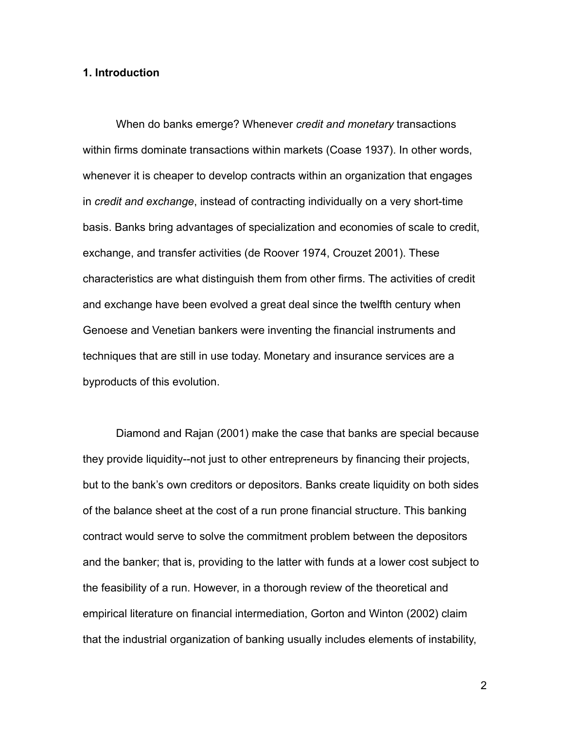### **1. Introduction**

When do banks emerge? Whenever *credit and monetary* transactions within firms dominate transactions within markets (Coase 1937). In other words, whenever it is cheaper to develop contracts within an organization that engages in *credit and exchange*, instead of contracting individually on a very short-time basis. Banks bring advantages of specialization and economies of scale to credit, exchange, and transfer activities (de Roover 1974, Crouzet 2001). These characteristics are what distinguish them from other firms. The activities of credit and exchange have been evolved a great deal since the twelfth century when Genoese and Venetian bankers were inventing the financial instruments and techniques that are still in use today. Monetary and insurance services are a byproducts of this evolution.

Diamond and Rajan (2001) make the case that banks are special because they provide liquidity--not just to other entrepreneurs by financing their projects, but to the bank's own creditors or depositors. Banks create liquidity on both sides of the balance sheet at the cost of a run prone financial structure. This banking contract would serve to solve the commitment problem between the depositors and the banker; that is, providing to the latter with funds at a lower cost subject to the feasibility of a run. However, in a thorough review of the theoretical and empirical literature on financial intermediation, Gorton and Winton (2002) claim that the industrial organization of banking usually includes elements of instability,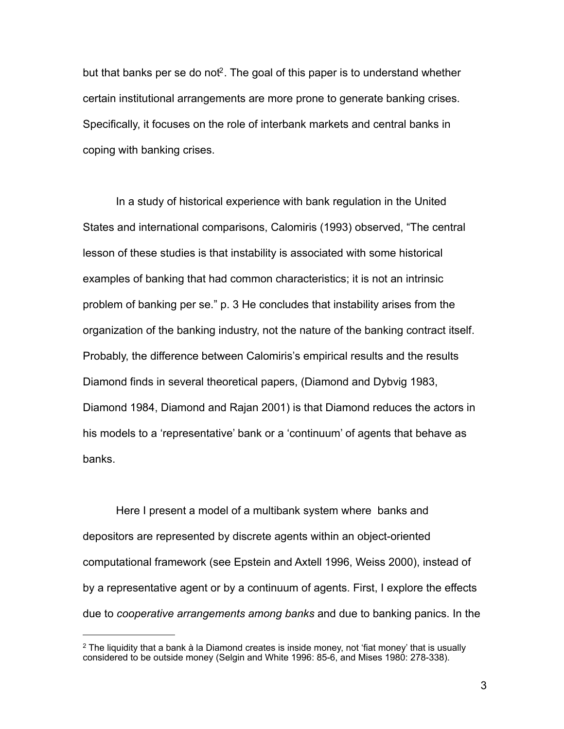but that banks per se do not<sup>2</sup>. The goal of this paper is to understand whether certain institutional arrangements are more prone to generate banking crises. Specifically, it focuses on the role of interbank markets and central banks in coping with banking crises.

In a study of historical experience with bank regulation in the United States and international comparisons, Calomiris (1993) observed, "The central lesson of these studies is that instability is associated with some historical examples of banking that had common characteristics; it is not an intrinsic problem of banking per se." p. 3 He concludes that instability arises from the organization of the banking industry, not the nature of the banking contract itself. Probably, the difference between Calomiris's empirical results and the results Diamond finds in several theoretical papers, (Diamond and Dybvig 1983, Diamond 1984, Diamond and Rajan 2001) is that Diamond reduces the actors in his models to a 'representative' bank or a 'continuum' of agents that behave as banks.

Here I present a model of a multibank system where banks and depositors are represented by discrete agents within an object-oriented computational framework (see Epstein and Axtell 1996, Weiss 2000), instead of by a representative agent or by a continuum of agents. First, I explore the effects due to *cooperative arrangements among banks* and due to banking panics. In the

<span id="page-2-0"></span><sup>&</sup>lt;sup>2</sup> The liquidity that a bank à la Diamond creates is inside money, not 'fiat money' that is usually considered to be outside money (Selgin and White 1996: 85-6, and Mises 1980: 278-338).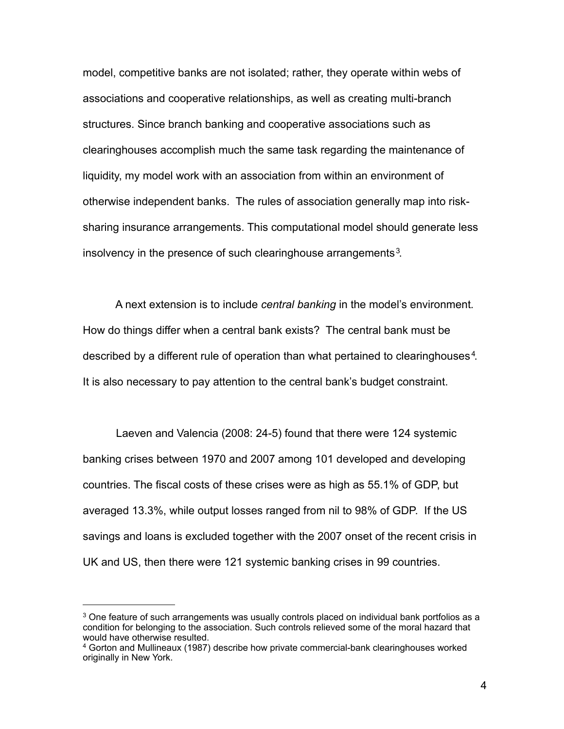model, competitive banks are not isolated; rather, they operate within webs of associations and cooperative relationships, as well as creating multi-branch structures. Since branch banking and cooperative associations such as clearinghouses accomplish much the same task regarding the maintenance of liquidity, my model work with an association from within an environment of otherwise independent banks. The rules of association generally map into risksharing insurance arrangements. This computational model should generate less insolvency in the presence of such clearinghouse arrangements<sup>[3](#page-3-0)</sup>.

A next extension is to include *central banking* in the model's environment*.*  How do things differ when a central bank exists? The central bank must be described by a different rule of operation than what pertained to clearinghouses<sup>[4](#page-3-1)</sup>. It is also necessary to pay attention to the central bank's budget constraint.

Laeven and Valencia (2008: 24-5) found that there were 124 systemic banking crises between 1970 and 2007 among 101 developed and developing countries. The fiscal costs of these crises were as high as 55.1% of GDP, but averaged 13.3%, while output losses ranged from nil to 98% of GDP. If the US savings and loans is excluded together with the 2007 onset of the recent crisis in UK and US, then there were 121 systemic banking crises in 99 countries.

<span id="page-3-0"></span> $3$  One feature of such arrangements was usually controls placed on individual bank portfolios as a condition for belonging to the association. Such controls relieved some of the moral hazard that would have otherwise resulted.

<span id="page-3-1"></span><sup>4</sup> Gorton and Mullineaux (1987) describe how private commercial-bank clearinghouses worked originally in New York.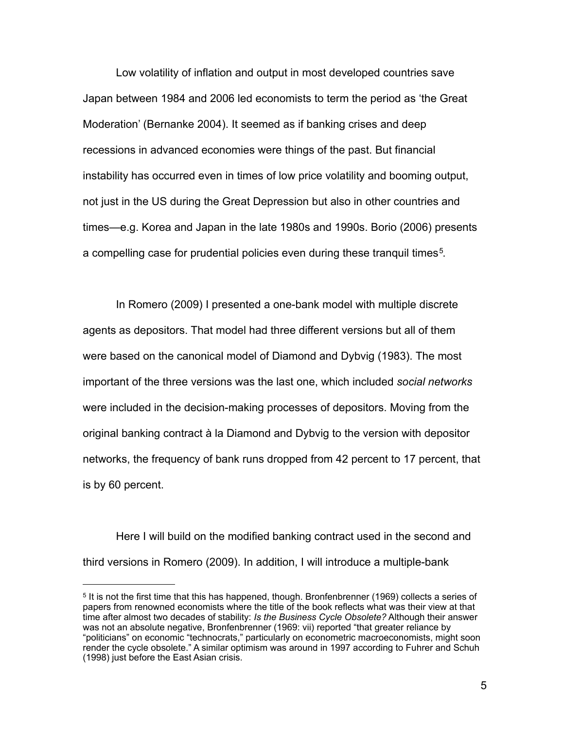Low volatility of inflation and output in most developed countries save Japan between 1984 and 2006 led economists to term the period as 'the Great Moderation' (Bernanke 2004). It seemed as if banking crises and deep recessions in advanced economies were things of the past. But financial instability has occurred even in times of low price volatility and booming output, not just in the US during the Great Depression but also in other countries and times—e.g. Korea and Japan in the late 1980s and 1990s. Borio (2006) presents a compelling case for prudential policies even during these tranquil times<sup>5</sup>.

In Romero (2009) I presented a one-bank model with multiple discrete agents as depositors. That model had three different versions but all of them were based on the canonical model of Diamond and Dybvig (1983). The most important of the three versions was the last one, which included *social networks* were included in the decision-making processes of depositors. Moving from the original banking contract à la Diamond and Dybvig to the version with depositor networks, the frequency of bank runs dropped from 42 percent to 17 percent, that is by 60 percent.

Here I will build on the modified banking contract used in the second and third versions in Romero (2009). In addition, I will introduce a multiple-bank

<span id="page-4-0"></span><sup>5</sup> It is not the first time that this has happened, though. Bronfenbrenner (1969) collects a series of papers from renowned economists where the title of the book reflects what was their view at that time after almost two decades of stability: *Is the Business Cycle Obsolete?* Although their answer was not an absolute negative, Bronfenbrenner (1969: vii) reported "that greater reliance by "politicians" on economic "technocrats," particularly on econometric macroeconomists, might soon render the cycle obsolete." A similar optimism was around in 1997 according to Fuhrer and Schuh (1998) just before the East Asian crisis.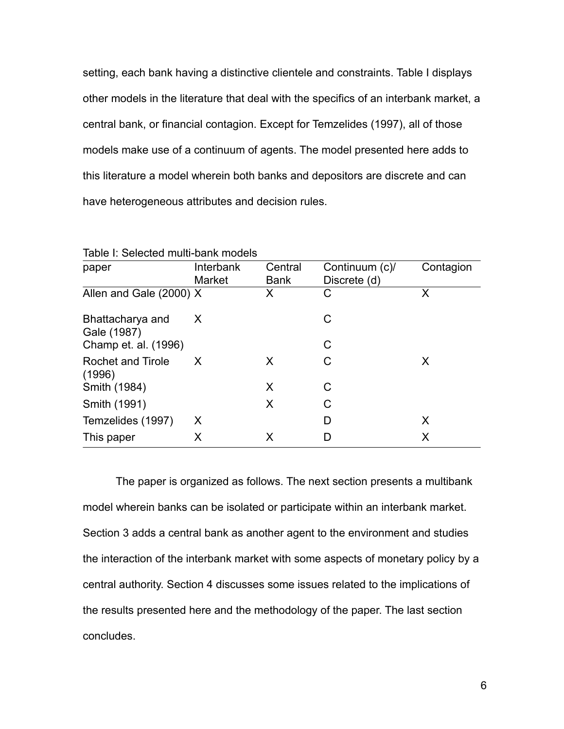setting, each bank having a distinctive clientele and constraints. Table I displays other models in the literature that deal with the specifics of an interbank market, a central bank, or financial contagion. Except for Temzelides (1997), all of those models make use of a continuum of agents. The model presented here adds to this literature a model wherein both banks and depositors are discrete and can have heterogeneous attributes and decision rules.

| טוטגישונו אווועמו ווועמו וועטאסוני ווי |                                          |                  |                   |  |  |
|----------------------------------------|------------------------------------------|------------------|-------------------|--|--|
| Interbank                              | Central                                  | Continuum (c)/   | Contagion         |  |  |
|                                        |                                          |                  |                   |  |  |
|                                        |                                          |                  | X                 |  |  |
| X.                                     |                                          | С                |                   |  |  |
|                                        |                                          |                  |                   |  |  |
|                                        |                                          | С                |                   |  |  |
| X                                      | X                                        | C                | X                 |  |  |
|                                        | X                                        | C                |                   |  |  |
|                                        | X                                        | C                |                   |  |  |
| X                                      |                                          | D                | X                 |  |  |
| Χ                                      | X                                        | D                | X                 |  |  |
|                                        | <b>Market</b><br>Allen and Gale (2000) X | <b>Bank</b><br>X | Discrete (d)<br>C |  |  |

Table I: Selected multi-bank models

The paper is organized as follows. The next section presents a multibank model wherein banks can be isolated or participate within an interbank market. Section 3 adds a central bank as another agent to the environment and studies the interaction of the interbank market with some aspects of monetary policy by a central authority. Section 4 discusses some issues related to the implications of the results presented here and the methodology of the paper. The last section concludes.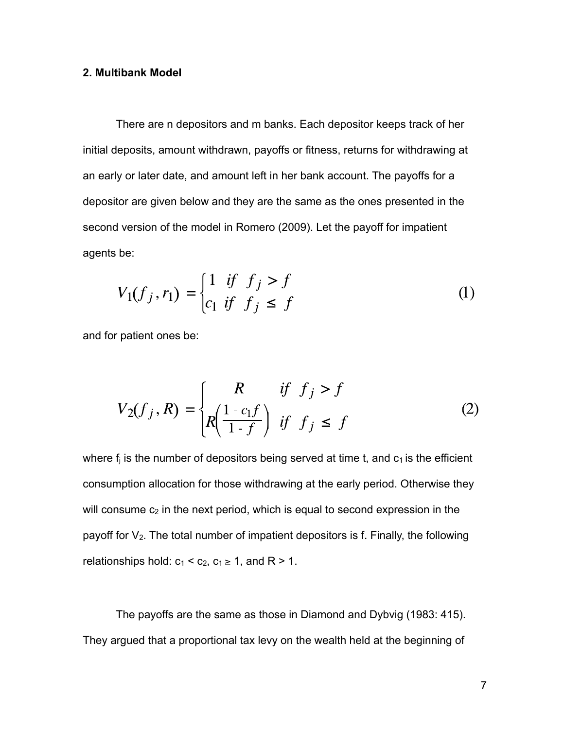### **2. Multibank Model**

There are n depositors and m banks. Each depositor keeps track of her initial deposits, amount withdrawn, payoffs or fitness, returns for withdrawing at an early or later date, and amount left in her bank account. The payoffs for a depositor are given below and they are the same as the ones presented in the second version of the model in Romero (2009). Let the payoff for impatient agents be:

$$
V_1(f_j, r_1) = \begin{cases} 1 & \text{if } f_j > f \\ c_1 & \text{if } f_j \le f \end{cases}
$$
 (1)

and for patient ones be:

$$
V_2(f_j, R) = \begin{cases} R & \text{if } f_j > f \\ R\left(\frac{1 - c_1 f}{1 - f}\right) & \text{if } f_j \le f \end{cases}
$$
 (2)

where  $f_i$  is the number of depositors being served at time t, and  $c_1$  is the efficient consumption allocation for those withdrawing at the early period. Otherwise they will consume  $c_2$  in the next period, which is equal to second expression in the payoff for  $V_2$ . The total number of impatient depositors is f. Finally, the following relationships hold:  $c_1 < c_2$ ,  $c_1 \ge 1$ , and R > 1.

The payoffs are the same as those in Diamond and Dybvig (1983: 415). They argued that a proportional tax levy on the wealth held at the beginning of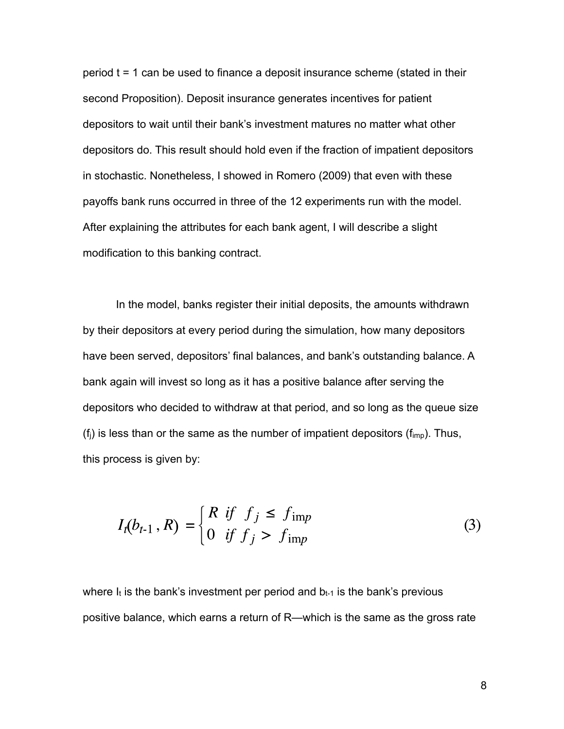period t = 1 can be used to finance a deposit insurance scheme (stated in their second Proposition). Deposit insurance generates incentives for patient depositors to wait until their bank's investment matures no matter what other depositors do. This result should hold even if the fraction of impatient depositors in stochastic. Nonetheless, I showed in Romero (2009) that even with these payoffs bank runs occurred in three of the 12 experiments run with the model. After explaining the attributes for each bank agent, I will describe a slight modification to this banking contract.

In the model, banks register their initial deposits, the amounts withdrawn by their depositors at every period during the simulation, how many depositors have been served, depositors' final balances, and bank's outstanding balance. A bank again will invest so long as it has a positive balance after serving the depositors who decided to withdraw at that period, and so long as the queue size  $(f_i)$  is less than or the same as the number of impatient depositors  $(f_{imp})$ . Thus, this process is given by:

$$
I_t(b_{t-1}, R) = \begin{cases} R & \text{if } f_j \le f_{\text{imp}} \\ 0 & \text{if } f_j > f_{\text{imp}} \end{cases}
$$
 (3)

where  $I_t$  is the bank's investment per period and  $b_{t-1}$  is the bank's previous positive balance, which earns a return of R—which is the same as the gross rate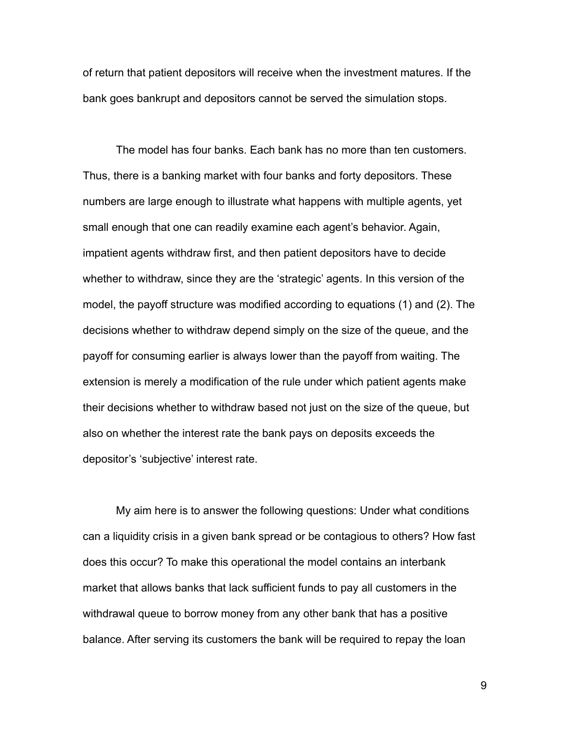of return that patient depositors will receive when the investment matures. If the bank goes bankrupt and depositors cannot be served the simulation stops.

The model has four banks. Each bank has no more than ten customers. Thus, there is a banking market with four banks and forty depositors. These numbers are large enough to illustrate what happens with multiple agents, yet small enough that one can readily examine each agent's behavior. Again, impatient agents withdraw first, and then patient depositors have to decide whether to withdraw, since they are the 'strategic' agents. In this version of the model, the payoff structure was modified according to equations (1) and (2). The decisions whether to withdraw depend simply on the size of the queue, and the payoff for consuming earlier is always lower than the payoff from waiting. The extension is merely a modification of the rule under which patient agents make their decisions whether to withdraw based not just on the size of the queue, but also on whether the interest rate the bank pays on deposits exceeds the depositor's 'subjective' interest rate.

My aim here is to answer the following questions: Under what conditions can a liquidity crisis in a given bank spread or be contagious to others? How fast does this occur? To make this operational the model contains an interbank market that allows banks that lack sufficient funds to pay all customers in the withdrawal queue to borrow money from any other bank that has a positive balance. After serving its customers the bank will be required to repay the loan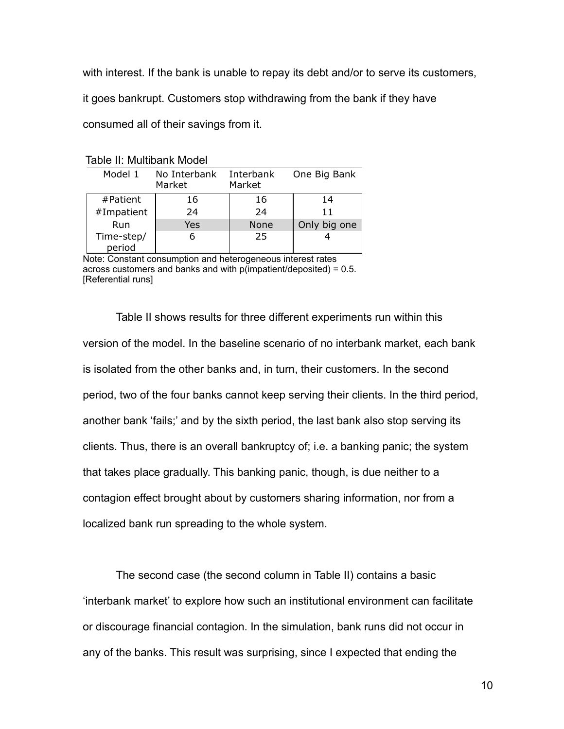with interest. If the bank is unable to repay its debt and/or to serve its customers,

it goes bankrupt. Customers stop withdrawing from the bank if they have

consumed all of their savings from it.

| Table II: Multibank Model |  |
|---------------------------|--|
|---------------------------|--|

| Model 1              | No Interbank<br>Market | Interbank<br>Market | One Big Bank |  |  |
|----------------------|------------------------|---------------------|--------------|--|--|
| #Patient             | 16                     | 16                  | 14           |  |  |
| #Impatient           | 24                     | 24                  | 11           |  |  |
| Run                  | Yes                    | <b>None</b>         | Only big one |  |  |
| Time-step/<br>period | 6                      | 25                  |              |  |  |

Note: Constant consumption and heterogeneous interest rates across customers and banks and with p(impatient/deposited) = 0.5. [Referential runs]

Table II shows results for three different experiments run within this version of the model. In the baseline scenario of no interbank market, each bank is isolated from the other banks and, in turn, their customers. In the second period, two of the four banks cannot keep serving their clients. In the third period, another bank 'fails;' and by the sixth period, the last bank also stop serving its clients. Thus, there is an overall bankruptcy of; i.e. a banking panic; the system that takes place gradually. This banking panic, though, is due neither to a contagion effect brought about by customers sharing information, nor from a localized bank run spreading to the whole system.

The second case (the second column in Table II) contains a basic 'interbank market' to explore how such an institutional environment can facilitate or discourage financial contagion. In the simulation, bank runs did not occur in any of the banks. This result was surprising, since I expected that ending the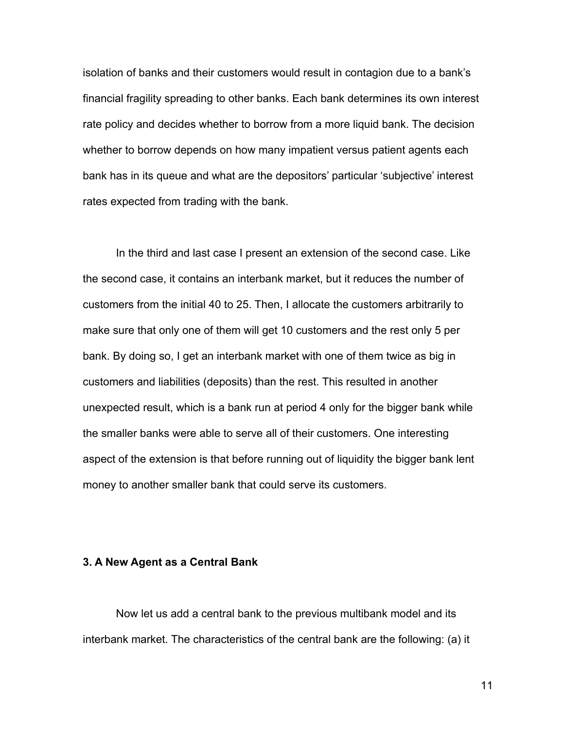isolation of banks and their customers would result in contagion due to a bank's financial fragility spreading to other banks. Each bank determines its own interest rate policy and decides whether to borrow from a more liquid bank. The decision whether to borrow depends on how many impatient versus patient agents each bank has in its queue and what are the depositors' particular 'subjective' interest rates expected from trading with the bank.

In the third and last case I present an extension of the second case. Like the second case, it contains an interbank market, but it reduces the number of customers from the initial 40 to 25. Then, I allocate the customers arbitrarily to make sure that only one of them will get 10 customers and the rest only 5 per bank. By doing so, I get an interbank market with one of them twice as big in customers and liabilities (deposits) than the rest. This resulted in another unexpected result, which is a bank run at period 4 only for the bigger bank while the smaller banks were able to serve all of their customers. One interesting aspect of the extension is that before running out of liquidity the bigger bank lent money to another smaller bank that could serve its customers.

## **3. A New Agent as a Central Bank**

Now let us add a central bank to the previous multibank model and its interbank market. The characteristics of the central bank are the following: (a) it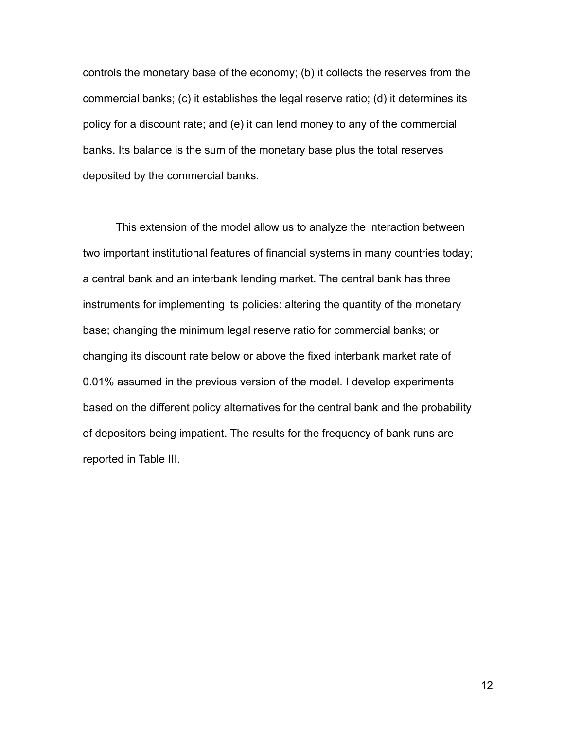controls the monetary base of the economy; (b) it collects the reserves from the commercial banks; (c) it establishes the legal reserve ratio; (d) it determines its policy for a discount rate; and (e) it can lend money to any of the commercial banks. Its balance is the sum of the monetary base plus the total reserves deposited by the commercial banks.

This extension of the model allow us to analyze the interaction between two important institutional features of financial systems in many countries today; a central bank and an interbank lending market. The central bank has three instruments for implementing its policies: altering the quantity of the monetary base; changing the minimum legal reserve ratio for commercial banks; or changing its discount rate below or above the fixed interbank market rate of 0.01% assumed in the previous version of the model. I develop experiments based on the different policy alternatives for the central bank and the probability of depositors being impatient. The results for the frequency of bank runs are reported in Table III.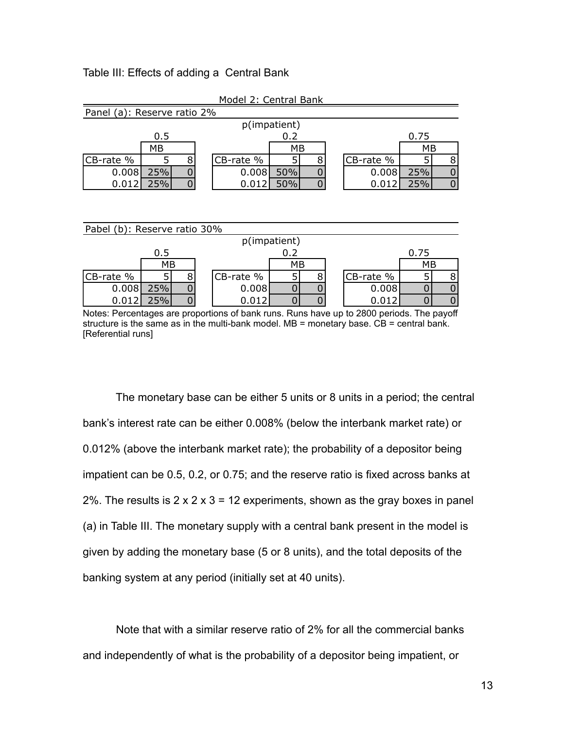### Table III: Effects of adding a Central Bank

| Model 2: Central Bank       |     |  |  |           |     |  |  |           |      |  |
|-----------------------------|-----|--|--|-----------|-----|--|--|-----------|------|--|
| Panel (a): Reserve ratio 2% |     |  |  |           |     |  |  |           |      |  |
| p(impatient)                |     |  |  |           |     |  |  |           |      |  |
|                             | 0.5 |  |  |           | 0.2 |  |  |           | 0.75 |  |
|                             | MB  |  |  |           | MB  |  |  |           | МB   |  |
| CB-rate %                   |     |  |  | CB-rate % |     |  |  | CB-rate % |      |  |
| 0.008                       | 25% |  |  | 0.008     | 50% |  |  | 0.008     | 25%  |  |
| 0.012                       | 25% |  |  | 0.012     | 50% |  |  | 0.012     | 25%  |  |

| Pabel (b): Reserve ratio 30% |      |  |  |           |    |  |  |           |    |   |
|------------------------------|------|--|--|-----------|----|--|--|-----------|----|---|
| p(impatient)                 |      |  |  |           |    |  |  |           |    |   |
| 0.2<br>0.5                   |      |  |  |           |    |  |  | 0.75      |    |   |
|                              | МB   |  |  |           | МB |  |  |           | МB |   |
| CB-rate %                    |      |  |  | CB-rate % |    |  |  | CB-rate % |    | 8 |
| 0.008                        | 25%  |  |  | 0.008     |    |  |  | 0.008     |    |   |
| 0.012                        | ን5%. |  |  | በ.በ12     |    |  |  | 0.012     |    |   |

Notes: Percentages are proportions of bank runs. Runs have up to 2800 periods. The payoff structure is the same as in the multi-bank model.  $MB =$  monetary base.  $CB =$  central bank. [Referential runs]

The monetary base can be either 5 units or 8 units in a period; the central bank's interest rate can be either 0.008% (below the interbank market rate) or 0.012% (above the interbank market rate); the probability of a depositor being impatient can be 0.5, 0.2, or 0.75; and the reserve ratio is fixed across banks at 2%. The results is  $2 \times 2 \times 3 = 12$  experiments, shown as the gray boxes in panel (a) in Table III. The monetary supply with a central bank present in the model is given by adding the monetary base (5 or 8 units), and the total deposits of the banking system at any period (initially set at 40 units).

Note that with a similar reserve ratio of 2% for all the commercial banks and independently of what is the probability of a depositor being impatient, or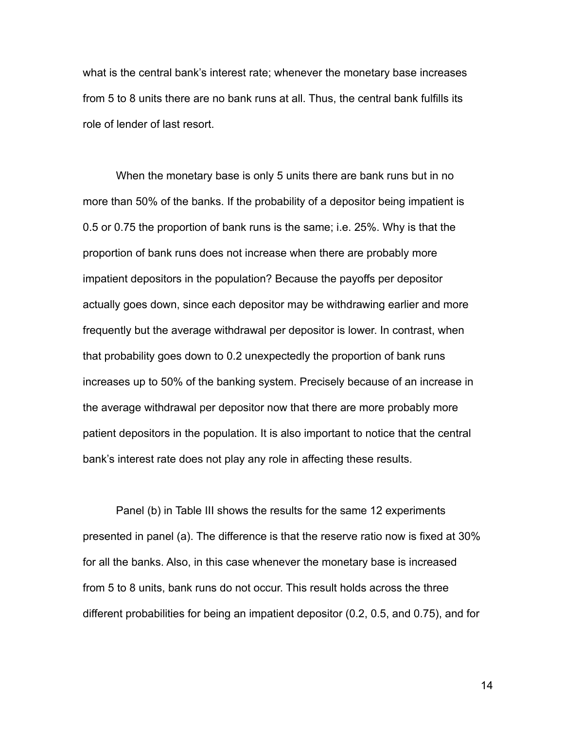what is the central bank's interest rate; whenever the monetary base increases from 5 to 8 units there are no bank runs at all. Thus, the central bank fulfills its role of lender of last resort.

When the monetary base is only 5 units there are bank runs but in no more than 50% of the banks. If the probability of a depositor being impatient is 0.5 or 0.75 the proportion of bank runs is the same; i.e. 25%. Why is that the proportion of bank runs does not increase when there are probably more impatient depositors in the population? Because the payoffs per depositor actually goes down, since each depositor may be withdrawing earlier and more frequently but the average withdrawal per depositor is lower. In contrast, when that probability goes down to 0.2 unexpectedly the proportion of bank runs increases up to 50% of the banking system. Precisely because of an increase in the average withdrawal per depositor now that there are more probably more patient depositors in the population. It is also important to notice that the central bank's interest rate does not play any role in affecting these results.

Panel (b) in Table III shows the results for the same 12 experiments presented in panel (a). The difference is that the reserve ratio now is fixed at 30% for all the banks. Also, in this case whenever the monetary base is increased from 5 to 8 units, bank runs do not occur. This result holds across the three different probabilities for being an impatient depositor (0.2, 0.5, and 0.75), and for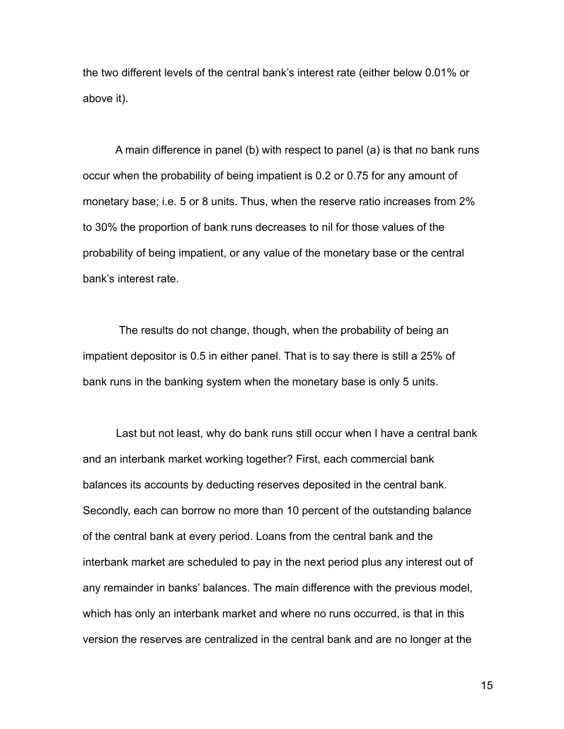the two different levels of the central bank's interest rate (either below 0.01% or above it).

A main difference in panel (b) with respect to panel (a) is that no bank runs occur when the probability of being impatient is 0.2 or 0.75 for any amount of monetary base; i.e. 5 or 8 units. Thus, when the reserve ratio increases from 2% to 30% the proportion of bank runs decreases to nil for those values of the probability of being impatient, or any value of the monetary base or the central bank's interest rate.

The results do not change, though, when the probability of being an impatient depositor is 0.5 in either panel. That is to say there is still a 25% of bank runs in the banking system when the monetary base is only 5 units.

Last but not least, why do bank runs still occur when I have a central bank and an interbank market working together? First, each commercial bank balances its accounts by deducting reserves deposited in the central bank. Secondly, each can borrow no more than 10 percent of the outstanding balance of the central bank at every period. Loans from the central bank and the interbank market are scheduled to pay in the next period plus any interest out of any remainder in banks' balances. The main difference with the previous model, which has only an interbank market and where no runs occurred, is that in this version the reserves are centralized in the central bank and are no longer at the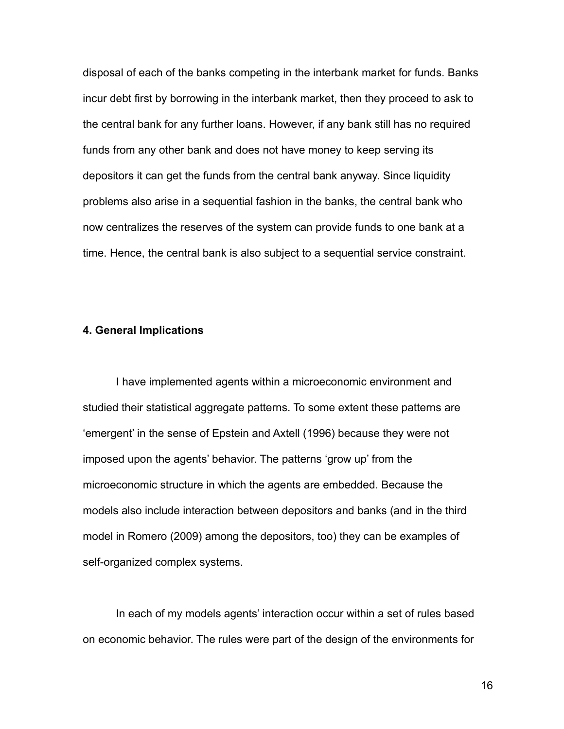disposal of each of the banks competing in the interbank market for funds. Banks incur debt first by borrowing in the interbank market, then they proceed to ask to the central bank for any further loans. However, if any bank still has no required funds from any other bank and does not have money to keep serving its depositors it can get the funds from the central bank anyway. Since liquidity problems also arise in a sequential fashion in the banks, the central bank who now centralizes the reserves of the system can provide funds to one bank at a time. Hence, the central bank is also subject to a sequential service constraint.

#### **4. General Implications**

I have implemented agents within a microeconomic environment and studied their statistical aggregate patterns. To some extent these patterns are 'emergent' in the sense of Epstein and Axtell (1996) because they were not imposed upon the agents' behavior. The patterns 'grow up' from the microeconomic structure in which the agents are embedded. Because the models also include interaction between depositors and banks (and in the third model in Romero (2009) among the depositors, too) they can be examples of self-organized complex systems.

In each of my models agents' interaction occur within a set of rules based on economic behavior. The rules were part of the design of the environments for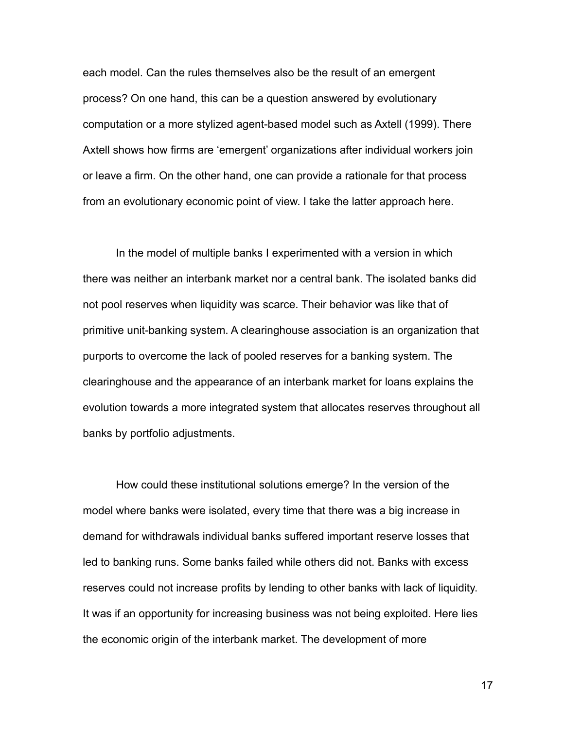each model. Can the rules themselves also be the result of an emergent process? On one hand, this can be a question answered by evolutionary computation or a more stylized agent-based model such as Axtell (1999). There Axtell shows how firms are 'emergent' organizations after individual workers join or leave a firm. On the other hand, one can provide a rationale for that process from an evolutionary economic point of view. I take the latter approach here.

In the model of multiple banks I experimented with a version in which there was neither an interbank market nor a central bank. The isolated banks did not pool reserves when liquidity was scarce. Their behavior was like that of primitive unit-banking system. A clearinghouse association is an organization that purports to overcome the lack of pooled reserves for a banking system. The clearinghouse and the appearance of an interbank market for loans explains the evolution towards a more integrated system that allocates reserves throughout all banks by portfolio adjustments.

How could these institutional solutions emerge? In the version of the model where banks were isolated, every time that there was a big increase in demand for withdrawals individual banks suffered important reserve losses that led to banking runs. Some banks failed while others did not. Banks with excess reserves could not increase profits by lending to other banks with lack of liquidity. It was if an opportunity for increasing business was not being exploited. Here lies the economic origin of the interbank market. The development of more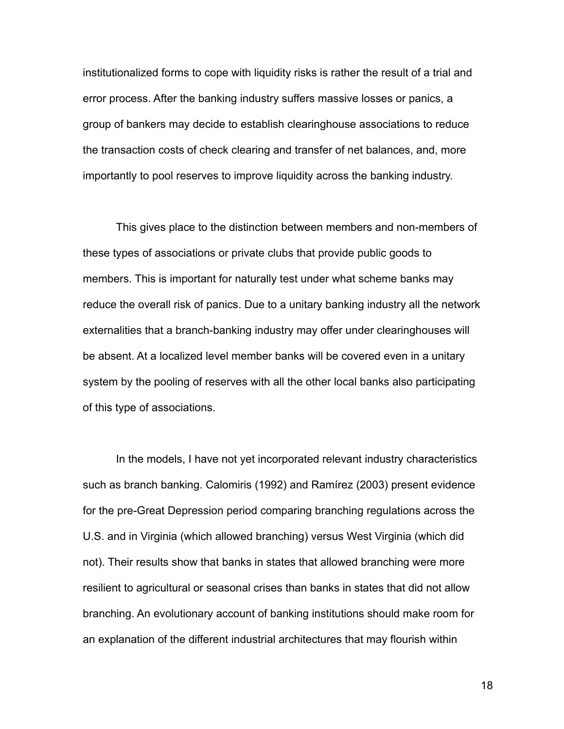institutionalized forms to cope with liquidity risks is rather the result of a trial and error process. After the banking industry suffers massive losses or panics, a group of bankers may decide to establish clearinghouse associations to reduce the transaction costs of check clearing and transfer of net balances, and, more importantly to pool reserves to improve liquidity across the banking industry.

This gives place to the distinction between members and non-members of these types of associations or private clubs that provide public goods to members. This is important for naturally test under what scheme banks may reduce the overall risk of panics. Due to a unitary banking industry all the network externalities that a branch-banking industry may offer under clearinghouses will be absent. At a localized level member banks will be covered even in a unitary system by the pooling of reserves with all the other local banks also participating of this type of associations.

In the models, I have not yet incorporated relevant industry characteristics such as branch banking. Calomiris (1992) and Ramírez (2003) present evidence for the pre-Great Depression period comparing branching regulations across the U.S. and in Virginia (which allowed branching) versus West Virginia (which did not). Their results show that banks in states that allowed branching were more resilient to agricultural or seasonal crises than banks in states that did not allow branching. An evolutionary account of banking institutions should make room for an explanation of the different industrial architectures that may flourish within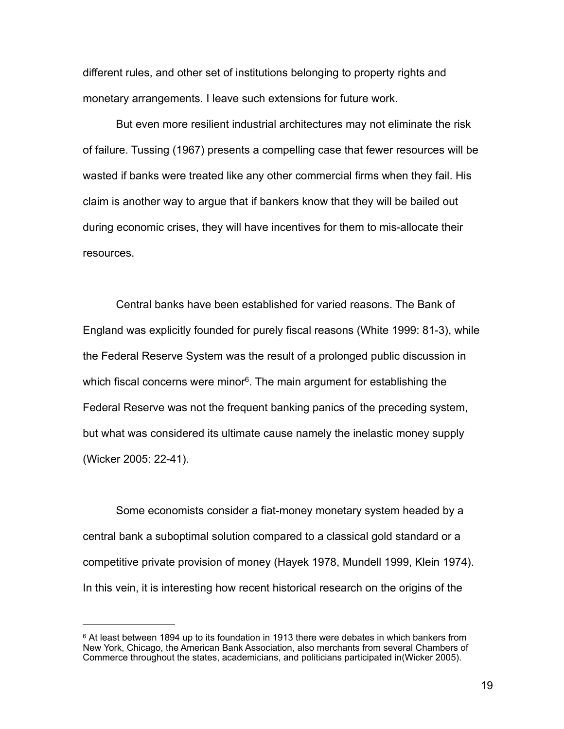different rules, and other set of institutions belonging to property rights and monetary arrangements. I leave such extensions for future work.

But even more resilient industrial architectures may not eliminate the risk of failure. Tussing (1967) presents a compelling case that fewer resources will be wasted if banks were treated like any other commercial firms when they fail. His claim is another way to argue that if bankers know that they will be bailed out during economic crises, they will have incentives for them to mis-allocate their resources.

Central banks have been established for varied reasons. The Bank of England was explicitly founded for purely fiscal reasons (White 1999: 81-3), while the Federal Reserve System was the result of a prolonged public discussion in which fiscal concerns were minor<sup>6</sup>. The main argument for establishing the Federal Reserve was not the frequent banking panics of the preceding system, but what was considered its ultimate cause namely the inelastic money supply (Wicker 2005: 22-41).

Some economists consider a fiat-money monetary system headed by a central bank a suboptimal solution compared to a classical gold standard or a competitive private provision of money (Hayek 1978, Mundell 1999, Klein 1974). In this vein, it is interesting how recent historical research on the origins of the

<span id="page-18-0"></span> $6$  At least between 1894 up to its foundation in 1913 there were debates in which bankers from New York, Chicago, the American Bank Association, also merchants from several Chambers of Commerce throughout the states, academicians, and politicians participated in(Wicker 2005).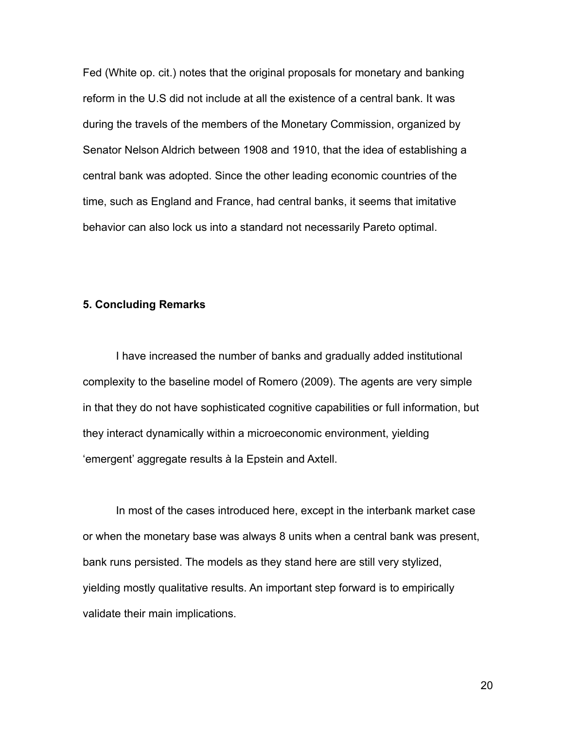Fed (White op. cit.) notes that the original proposals for monetary and banking reform in the U.S did not include at all the existence of a central bank. It was during the travels of the members of the Monetary Commission, organized by Senator Nelson Aldrich between 1908 and 1910, that the idea of establishing a central bank was adopted. Since the other leading economic countries of the time, such as England and France, had central banks, it seems that imitative behavior can also lock us into a standard not necessarily Pareto optimal.

## **5. Concluding Remarks**

I have increased the number of banks and gradually added institutional complexity to the baseline model of Romero (2009). The agents are very simple in that they do not have sophisticated cognitive capabilities or full information, but they interact dynamically within a microeconomic environment, yielding 'emergent' aggregate results à la Epstein and Axtell.

In most of the cases introduced here, except in the interbank market case or when the monetary base was always 8 units when a central bank was present, bank runs persisted. The models as they stand here are still very stylized, yielding mostly qualitative results. An important step forward is to empirically validate their main implications.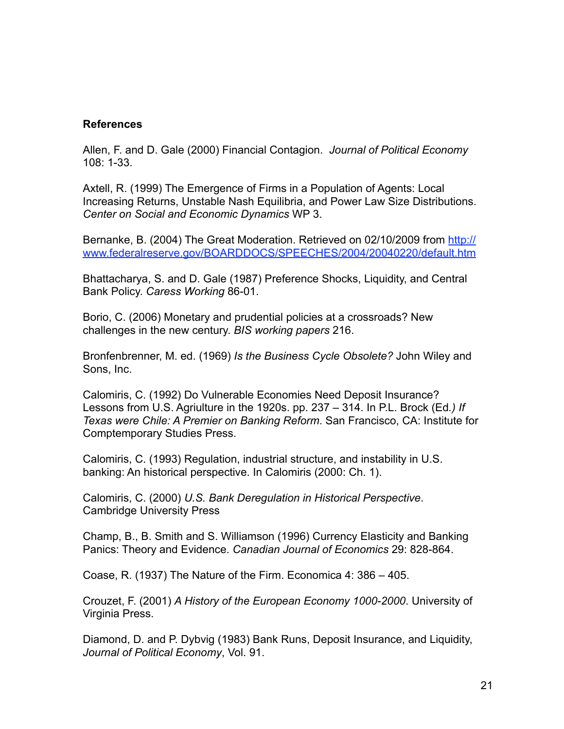## **References**

Allen, F. and D. Gale (2000) Financial Contagion. *Journal of Political Economy* 108: 1-33.

Axtell, R. (1999) The Emergence of Firms in a Population of Agents: Local Increasing Returns, Unstable Nash Equilibria, and Power Law Size Distributions. *Center on Social and Economic Dynamics* WP 3.

Bernanke, B. (2004) The Great Moderation. Retrieved on 02/10/2009 from [http://](http://www.federalreserve.gov/BOARDDOCS/SPEECHES/2004/20040220/default.htm) [www.federalreserve.gov/BOARDDOCS/SPEECHES/2004/20040220/default.htm](http://www.federalreserve.gov/BOARDDOCS/SPEECHES/2004/20040220/default.htm)

Bhattacharya, S. and D. Gale (1987) Preference Shocks, Liquidity, and Central Bank Policy. *Caress Working* 86-01.

Borio, C. (2006) Monetary and prudential policies at a crossroads? New challenges in the new century. *BIS working papers* 216.

Bronfenbrenner, M. ed. (1969) *Is the Business Cycle Obsolete?* John Wiley and Sons, Inc.

Calomiris, C. (1992) Do Vulnerable Economies Need Deposit Insurance? Lessons from U.S. Agriulture in the 1920s. pp. 237 – 314. In P.L. Brock (Ed*.) If Texas were Chile: A Premier on Banking Reform*. San Francisco, CA: Institute for Comptemporary Studies Press.

Calomiris, C. (1993) Regulation, industrial structure, and instability in U.S. banking: An historical perspective. In Calomiris (2000: Ch. 1).

Calomiris, C. (2000) *U.S. Bank Deregulation in Historical Perspective*. Cambridge University Press

Champ, B., B. Smith and S. Williamson (1996) Currency Elasticity and Banking Panics: Theory and Evidence. *Canadian Journal of Economics* 29: 828-864.

Coase, R. (1937) The Nature of the Firm. Economica 4: 386 – 405.

Crouzet, F. (2001) *A History of the European Economy 1000-2000*. University of Virginia Press.

Diamond, D. and P. Dybvig (1983) Bank Runs, Deposit Insurance, and Liquidity, *Journal of Political Economy*, Vol. 91.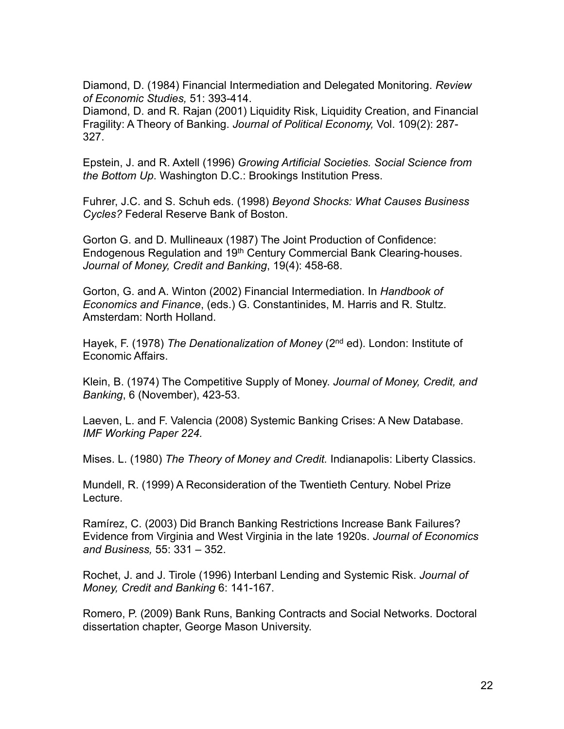Diamond, D. (1984) Financial Intermediation and Delegated Monitoring. *Review of Economic Studies,* 51: 393-414.

Diamond, D. and R. Rajan (2001) Liquidity Risk, Liquidity Creation, and Financial Fragility: A Theory of Banking. *Journal of Political Economy,* Vol. 109(2): 287- 327.

Epstein, J. and R. Axtell (1996) *Growing Artificial Societies. Social Science from the Bottom Up*. Washington D.C.: Brookings Institution Press.

Fuhrer, J.C. and S. Schuh eds. (1998) *Beyond Shocks: What Causes Business Cycles?* Federal Reserve Bank of Boston.

Gorton G. and D. Mullineaux (1987) The Joint Production of Confidence: Endogenous Regulation and 19<sup>th</sup> Century Commercial Bank Clearing-houses. *Journal of Money, Credit and Banking*, 19(4): 458-68.

Gorton, G. and A. Winton (2002) Financial Intermediation. In *Handbook of Economics and Finance*, (eds.) G. Constantinides, M. Harris and R. Stultz. Amsterdam: North Holland.

Hayek, F. (1978) *The Denationalization of Money* (2nd ed). London: Institute of Economic Affairs.

Klein, B. (1974) The Competitive Supply of Money. *Journal of Money, Credit, and Banking*, 6 (November), 423-53.

Laeven, L. and F. Valencia (2008) Systemic Banking Crises: A New Database. *IMF Working Paper 224.*

Mises. L. (1980) *The Theory of Money and Credit.* Indianapolis: Liberty Classics.

Mundell, R. (1999) A Reconsideration of the Twentieth Century. Nobel Prize Lecture.

Ramírez, C. (2003) Did Branch Banking Restrictions Increase Bank Failures? Evidence from Virginia and West Virginia in the late 1920s. *Journal of Economics and Business,* 55: 331 – 352.

Rochet, J. and J. Tirole (1996) Interbanl Lending and Systemic Risk. *Journal of Money, Credit and Banking* 6: 141-167.

Romero, P. (2009) Bank Runs, Banking Contracts and Social Networks. Doctoral dissertation chapter, George Mason University.